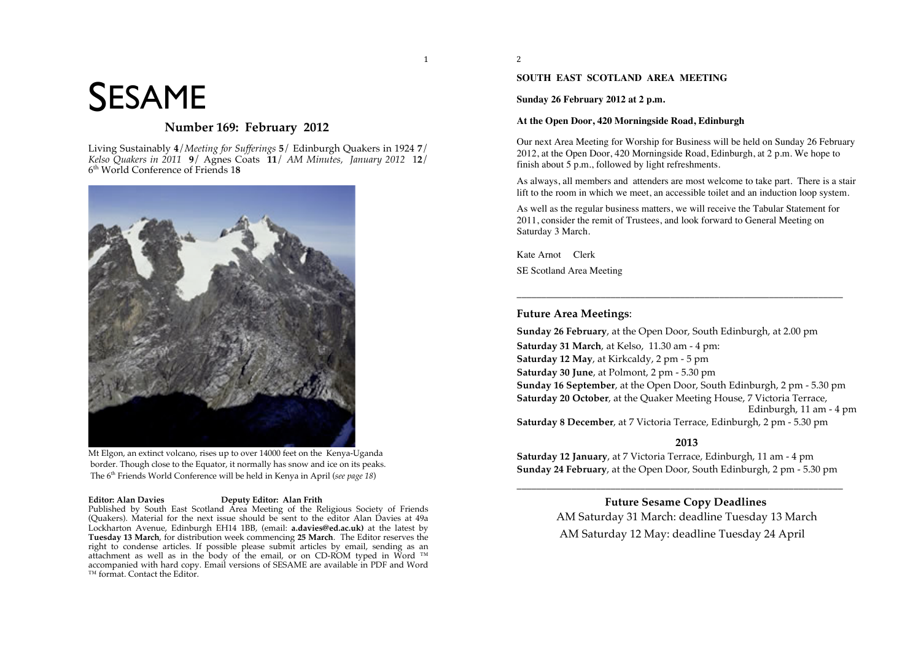# SESAME

## **Number 169: February 2012**

Living Sustainably **4**/*Meeting for Sufferings* **5**/ Edinburgh Quakers in 1924 **7**/ *Kelso Quakers in 2011* **9**/ Agnes Coats **11**/ *AM Minutes, January 2012* 1**2**/ 6th World Conference of Friends 1**8**



Mt Elgon, an extinct volcano, rises up to over 14000 feet on the Kenya-Uganda border. Though close to the Equator, it normally has snow and ice on its peaks. The 6th Friends World Conference will be held in Kenya in April (*see page 18*)

#### **Editor: Alan Davies Deputy Editor: Alan Frith**

Published by South East Scotland Area Meeting of the Religious Society of Friends (Quakers). Material for the next issue should be sent to the editor Alan Davies at 49a Lockharton Avenue, Edinburgh EH14 1BB, (email: **a.davies@ed.ac.uk)** at the latest by **Tuesday 13 March**, for distribution week commencing **25 March**. The Editor reserves the right to condense articles. If possible please submit articles by email, sending as an attachment as well as in the body of the email, or on CD-ROM typed in Word ™ accompanied with hard copy. Email versions of SESAME are available in PDF and Word ™ format. Contact the Editor.

<sup>2</sup>

 $\mathbf{1}$ 

#### **SOUTH EAST SCOTLAND AREA MEETING**

**Sunday 26 February 2012 at 2 p.m.**

#### **At the Open Door, 420 Morningside Road, Edinburgh**

Our next Area Meeting for Worship for Business will be held on Sunday 26 February 2012, at the Open Door, 420 Morningside Road, Edinburgh, at 2 p.m. We hope to finish about 5 p.m., followed by light refreshments.

As always, all members and attenders are most welcome to take part. There is a stair lift to the room in which we meet, an accessible toilet and an induction loop system.

As well as the regular business matters, we will receive the Tabular Statement for 2011, consider the remit of Trustees, and look forward to General Meeting on Saturday 3 March.

\_\_\_\_\_\_\_\_\_\_\_\_\_\_\_\_\_\_\_\_\_\_\_\_\_\_\_\_\_\_\_\_\_\_\_\_\_\_\_\_\_\_\_\_\_\_\_\_\_\_\_\_\_\_\_\_\_\_\_\_\_\_\_\_\_\_

Kate Arnot Clerk SE Scotland Area Meeting

#### **Future Area Meetings**:

**Sunday 26 February**, at the Open Door, South Edinburgh, at 2.00 pm **Saturday 31 March**, at Kelso, 11.30 am - 4 pm: **Saturday 12 May**, at Kirkcaldy, 2 pm - 5 pm **Saturday 30 June**, at Polmont, 2 pm - 5.30 pm **Sunday 16 September**, at the Open Door, South Edinburgh, 2 pm - 5.30 pm **Saturday 20 October**, at the Quaker Meeting House, 7 Victoria Terrace, Edinburgh, 11 am - 4 pm **Saturday 8 December**, at 7 Victoria Terrace, Edinburgh, 2 pm - 5.30 pm

#### **2013**

**Saturday 12 January**, at 7 Victoria Terrace, Edinburgh, 11 am - 4 pm **Sunday 24 February**, at the Open Door, South Edinburgh, 2 pm - 5.30 pm

\_\_\_\_\_\_\_\_\_\_\_\_\_\_\_\_\_\_\_\_\_\_\_\_\_\_\_\_\_\_\_\_\_\_\_\_\_\_\_\_\_\_\_\_\_\_\_\_\_\_\_\_\_\_\_\_\_\_\_\_\_\_\_\_\_\_

**Future Sesame Copy Deadlines** AM Saturday 31 March: deadline Tuesday 13 March AM Saturday 12 May: deadline Tuesday 24 April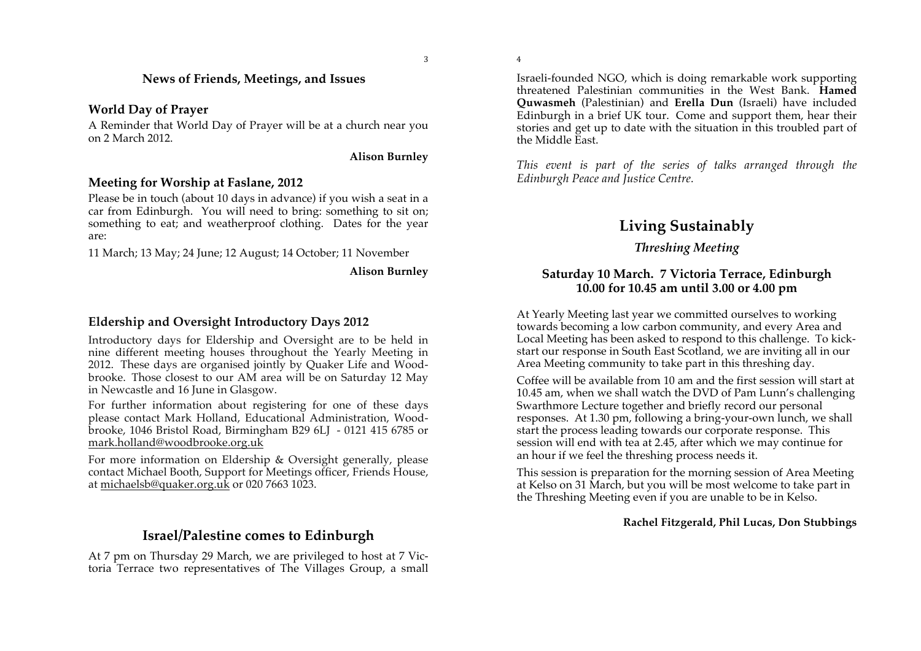\$

%

## **News of Friends, Meetings, and Issues**

## **World Day of Prayer**

A Reminder that World Day of Prayer will be at a church near you on 2 March 2012.

**Alison Burnley**

## **Meeting for Worship at Faslane, 2012**

Please be in touch (about 10 days in advance) if you wish a seat in a car from Edinburgh. You will need to bring: something to sit on; something to eat; and weatherproof clothing. Dates for the year are:

11 March; 13 May; 24 June; 12 August; 14 October; 11 November

**Alison Burnley**

## **Eldership and Oversight Introductory Days 2012**

Introductory days for Eldership and Oversight are to be held in nine different meeting houses throughout the Yearly Meeting in 2012. These days are organised jointly by Quaker Life and Woodbrooke. Those closest to our AM area will be on Saturday 12 May in Newcastle and 16 June in Glasgow.

For further information about registering for one of these days please contact Mark Holland, Educational Administration, Woodbrooke, 1046 Bristol Road, Birmingham B29 6LJ - 0121 415 6785 or mark.holland@woodbrooke.org.uk

For more information on Eldership & Oversight generally, please contact Michael Booth, Support for Meetings officer, Friends House, at michaelsb@quaker.org.uk or 020 7663 1023.

## **Israel/Palestine comes to Edinburgh**

At 7 pm on Thursday 29 March, we are privileged to host at 7 Victoria Terrace two representatives of The Villages Group, a small Israeli-founded NGO, which is doing remarkable work supporting threatened Palestinian communities in the West Bank. **Hamed Quwasmeh** (Palestinian) and **Erella Dun** (Israeli) have included Edinburgh in a brief UK tour. Come and support them, hear their stories and get up to date with the situation in this troubled part of the Middle East.

*This event is part of the series of talks arranged through the Edinburgh Peace and Justice Centre.* 

## **Living Sustainably**

## *Threshing Meeting*

## **Saturday 10 March. 7 Victoria Terrace, Edinburgh 10.00 for 10.45 am until 3.00 or 4.00 pm**

At Yearly Meeting last year we committed ourselves to working towards becoming a low carbon community, and every Area and Local Meeting has been asked to respond to this challenge. To kickstart our response in South East Scotland, we are inviting all in our Area Meeting community to take part in this threshing day.

Coffee will be available from 10 am and the first session will start at 10.45 am, when we shall watch the DVD of Pam Lunn's challenging Swarthmore Lecture together and briefly record our personal responses. At 1.30 pm, following a bring-your-own lunch, we shall start the process leading towards our corporate response. This session will end with tea at 2.45, after which we may continue for an hour if we feel the threshing process needs it.

This session is preparation for the morning session of Area Meeting at Kelso on 31 March, but you will be most welcome to take part in the Threshing Meeting even if you are unable to be in Kelso.

### **Rachel Fitzgerald, Phil Lucas, Don Stubbings**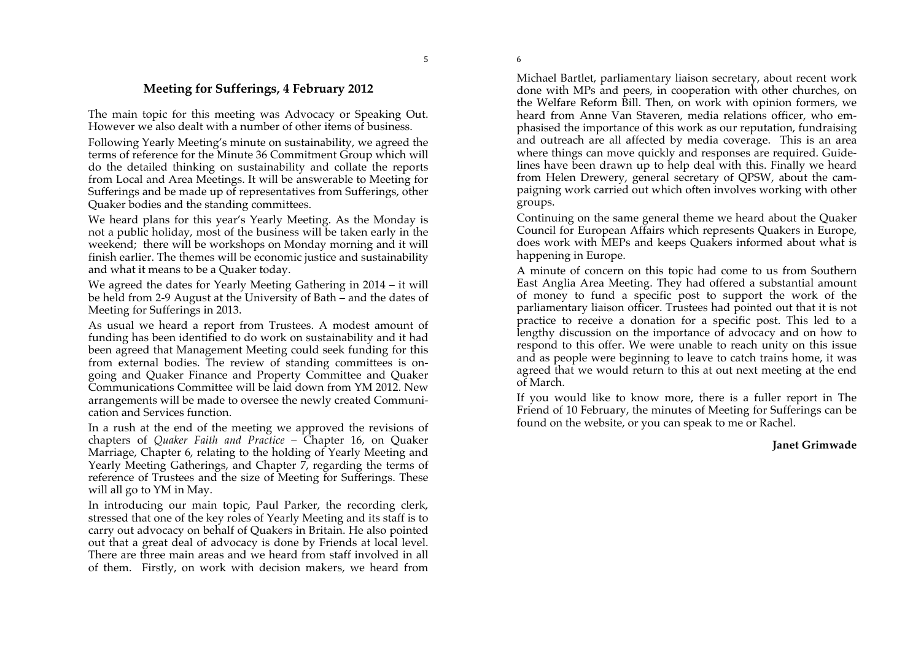'

## **Meeting for Sufferings, 4 February 2012**

The main topic for this meeting was Advocacy or Speaking Out. However we also dealt with a number of other items of business.

Following Yearly Meeting's minute on sustainability, we agreed the terms of reference for the Minute 36 Commitment Group which will do the detailed thinking on sustainability and collate the reports from Local and Area Meetings. It will be answerable to Meeting for Sufferings and be made up of representatives from Sufferings, other Quaker bodies and the standing committees.

We heard plans for this year's Yearly Meeting. As the Monday is not a public holiday, most of the business will be taken early in the weekend; there will be workshops on Monday morning and it will finish earlier. The themes will be economic justice and sustainability and what it means to be a Quaker today.

We agreed the dates for Yearly Meeting Gathering in 2014 – it will be held from 2-9 August at the University of Bath – and the dates of Meeting for Sufferings in 2013.

As usual we heard a report from Trustees. A modest amount of funding has been identified to do work on sustainability and it had been agreed that Management Meeting could seek funding for this from external bodies. The review of standing committees is ongoing and Quaker Finance and Property Committee and Quaker Communications Committee will be laid down from YM 2012. New arrangements will be made to oversee the newly created Communication and Services function.

In a rush at the end of the meeting we approved the revisions of chapters of *Quaker Faith and Practice* – Chapter 16, on Quaker Marriage, Chapter 6, relating to the holding of Yearly Meeting and Yearly Meeting Gatherings, and Chapter 7, regarding the terms of reference of Trustees and the size of Meeting for Sufferings. These will all go to YM in May.

In introducing our main topic, Paul Parker, the recording clerk, stressed that one of the key roles of Yearly Meeting and its staff is to carry out advocacy on behalf of Quakers in Britain. He also pointed out that a great deal of advocacy is done by Friends at local level. There are three main areas and we heard from staff involved in all of them. Firstly, on work with decision makers, we heard from Michael Bartlet, parliamentary liaison secretary, about recent work done with MPs and peers, in cooperation with other churches, on the Welfare Reform Bill. Then, on work with opinion formers, we heard from Anne Van Staveren, media relations officer, who emphasised the importance of this work as our reputation, fundraising and outreach are all affected by media coverage. This is an area where things can move quickly and responses are required. Guidelines have been drawn up to help deal with this. Finally we heard from Helen Drewery, general secretary of QPSW, about the campaigning work carried out which often involves working with other groups.

Continuing on the same general theme we heard about the Quaker Council for European Affairs which represents Quakers in Europe, does work with MEPs and keeps Quakers informed about what is happening in Europe.

A minute of concern on this topic had come to us from Southern East Anglia Area Meeting. They had offered a substantial amount of money to fund a specific post to support the work of the parliamentary liaison officer. Trustees had pointed out that it is not practice to receive a donation for a specific post. This led to a lengthy discussion on the importance of advocacy and on how to respond to this offer. We were unable to reach unity on this issue and as people were beginning to leave to catch trains home, it was agreed that we would return to this at out next meeting at the end of March.

If you would like to know more, there is a fuller report in The Friend of 10 February, the minutes of Meeting for Sufferings can be found on the website, or you can speak to me or Rachel.

#### **Janet Grimwade**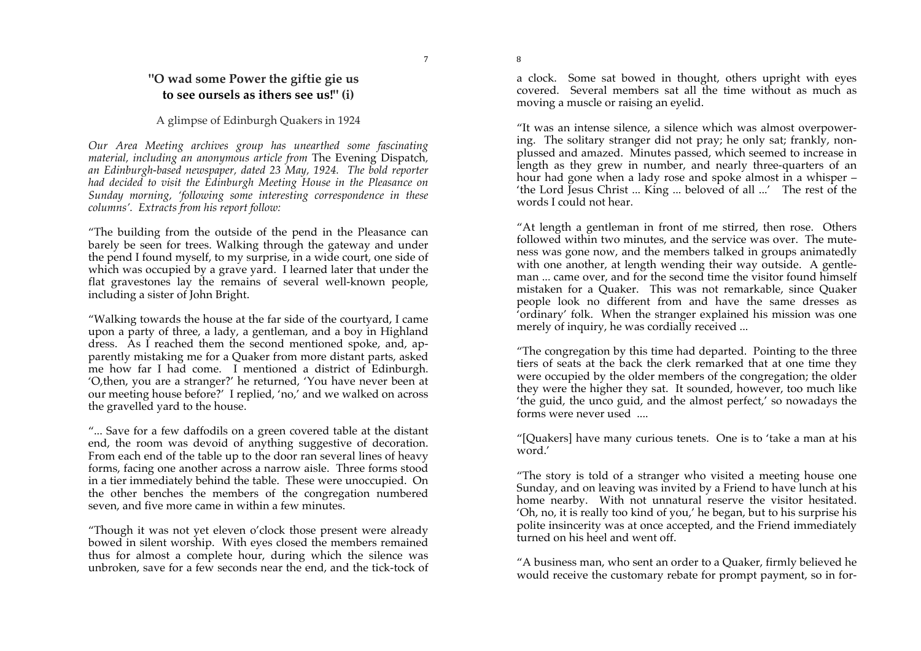## **"O wad some Power the giftie gie us to see oursels as ithers see us!" (i)**

#### A glimpse of Edinburgh Quakers in 1924

*Our Area Meeting archives group has unearthed some fascinating material, including an anonymous article from* The Evening Dispatch*, an Edinburgh-based newspaper, dated 23 May, 1924. The bold reporter had decided to visit the Edinburgh Meeting House in the Pleasance on Sunday morning, 'following some interesting correspondence in these columns'. Extracts from his report follow:*

"The building from the outside of the pend in the Pleasance can barely be seen for trees. Walking through the gateway and under the pend I found myself, to my surprise, in a wide court, one side of which was occupied by a grave yard. I learned later that under the flat gravestones lay the remains of several well-known people, including a sister of John Bright.

"Walking towards the house at the far side of the courtyard, I came upon a party of three, a lady, a gentleman, and a boy in Highland dress. As I reached them the second mentioned spoke, and, apparently mistaking me for a Quaker from more distant parts, asked me how far I had come. I mentioned a district of Edinburgh. 'O,then, you are a stranger?' he returned, 'You have never been at our meeting house before?' I replied, 'no,' and we walked on across the gravelled yard to the house.

"... Save for a few daffodils on a green covered table at the distant end, the room was devoid of anything suggestive of decoration. From each end of the table up to the door ran several lines of heavy forms, facing one another across a narrow aisle. Three forms stood in a tier immediately behind the table. These were unoccupied. On the other benches the members of the congregation numbered seven, and five more came in within a few minutes.

"Though it was not yet eleven o'clock those present were already bowed in silent worship. With eyes closed the members remained thus for almost a complete hour, during which the silence was unbroken, save for a few seconds near the end, and the tick-tock of a clock. Some sat bowed in thought, others upright with eyes covered. Several members sat all the time without as much as moving a muscle or raising an eyelid.

"It was an intense silence, a silence which was almost overpowering. The solitary stranger did not pray; he only sat; frankly, nonplussed and amazed. Minutes passed, which seemed to increase in length as they grew in number, and nearly three-quarters of an hour had gone when a lady rose and spoke almost in a whisper – 'the Lord Jesus Christ ... King ... beloved of all ...' The rest of the words I could not hear.

"At length a gentleman in front of me stirred, then rose. Others followed within two minutes, and the service was over. The muteness was gone now, and the members talked in groups animatedly with one another, at length wending their way outside. A gentleman ... came over, and for the second time the visitor found himself mistaken for a Quaker. This was not remarkable, since Quaker people look no different from and have the same dresses as 'ordinary' folk. When the stranger explained his mission was one merely of inquiry, he was cordially received ...

"The congregation by this time had departed. Pointing to the three tiers of seats at the back the clerk remarked that at one time they were occupied by the older members of the congregation; the older they were the higher they sat. It sounded, however, too much like 'the guid, the unco guid, and the almost perfect,' so nowadays the forms were never used ....

"[Quakers] have many curious tenets. One is to 'take a man at his word.'

"The story is told of a stranger who visited a meeting house one Sunday, and on leaving was invited by a Friend to have lunch at his home nearby. With not unnatural reserve the visitor hesitated. 'Oh, no, it is really too kind of you,' he began, but to his surprise his polite insincerity was at once accepted, and the Friend immediately turned on his heel and went off.

"A business man, who sent an order to a Quaker, firmly believed he would receive the customary rebate for prompt payment, so in for-

)

(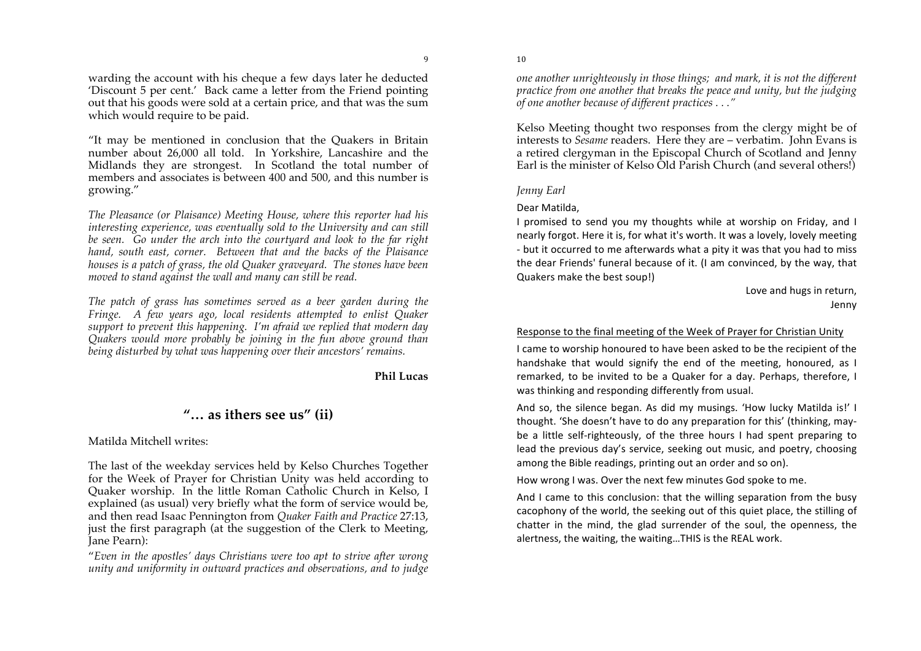\*

warding the account with his cheque a few days later he deducted 'Discount 5 per cent.' Back came a letter from the Friend pointing out that his goods were sold at a certain price, and that was the sum which would require to be paid.

"It may be mentioned in conclusion that the Quakers in Britain number about 26,000 all told. In Yorkshire, Lancashire and the Midlands they are strongest. In Scotland the total number of members and associates is between 400 and 500, and this number is growing."

*The Pleasance (or Plaisance) Meeting House, where this reporter had his interesting experience, was eventually sold to the University and can still be seen. Go under the arch into the courtyard and look to the far right hand, south east, corner. Between that and the backs of the Plaisance houses is a patch of grass, the old Quaker graveyard. The stones have been moved to stand against the wall and many can still be read.*

*The patch of grass has sometimes served as a beer garden during the Fringe. A few years ago, local residents attempted to enlist Quaker support to prevent this happening. I'm afraid we replied that modern day Quakers would more probably be joining in the fun above ground than being disturbed by what was happening over their ancestors' remains.*

#### **Phil Lucas**

## **"… as ithers see us" (ii)**

Matilda Mitchell writes:

The last of the weekday services held by Kelso Churches Together for the Week of Prayer for Christian Unity was held according to Quaker worship. In the little Roman Catholic Church in Kelso, I explained (as usual) very briefly what the form of service would be, and then read Isaac Pennington from *Quaker Faith and Practice* 27:13, just the first paragraph (at the suggestion of the Clerk to Meeting, Jane Pearn):

"*Even in the apostles' days Christians were too apt to strive after wrong unity and uniformity in outward practices and observations, and to judge* 

*one another unrighteously in those things; and mark, it is not the different practice from one another that breaks the peace and unity, but the judging of one another because of different practices . . ."*

Kelso Meeting thought two responses from the clergy might be of interests to *Sesame* readers. Here they are – verbatim. John Evans is a retired clergyman in the Episcopal Church of Scotland and Jenny Earl is the minister of Kelso Old Parish Church (and several others!)

#### *Jenny Earl*

 $10$ 

#### Dear Matilda.

I promised to send you my thoughts while at worship on Friday, and I nearly forgot. Here it is, for what it's worth. It was a lovely, lovely meeting - but it occurred to me afterwards what a pity it was that you had to miss the dear Friends' funeral because of it. (I am convinced, by the way, that Quakers make the best soup!)

> Love and hugs in return, Jenny

#### Response to the final meeting of the Week of Prayer for Christian Unity

I came to worship honoured to have been asked to be the recipient of the handshake that would signify the end of the meeting, honoured, as I remarked, to be invited to be a Quaker for a day. Perhaps, therefore, I was thinking and responding differently from usual.

And so, the silence began. As did my musings. 'How lucky Matilda is!' I thought. 'She doesn't have to do any preparation for this' (thinking, maybe a little self-righteously, of the three hours I had spent preparing to lead the previous day's service, seeking out music, and poetry, choosing among the Bible readings, printing out an order and so on).

How wrong I was. Over the next few minutes God spoke to me.

And I came to this conclusion: that the willing separation from the busy cacophony of the world, the seeking out of this quiet place, the stilling of chatter in the mind, the glad surrender of the soul, the openness, the alertness, the waiting, the waiting...THIS is the REAL work.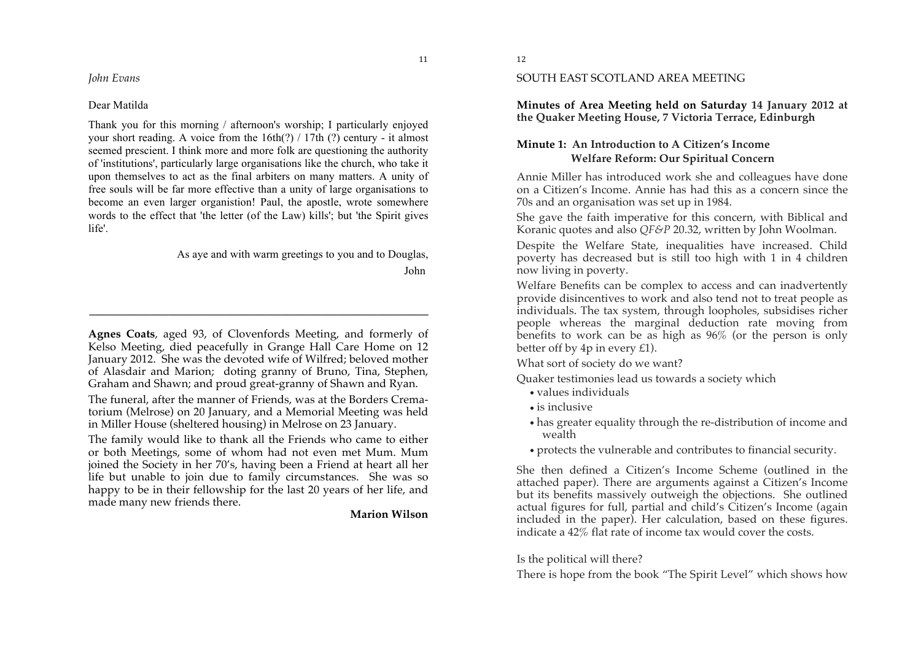*John Evans*

#### Dear Matilda

Thank you for this morning / afternoon's worship; I particularly enjoyed your short reading. A voice from the 16th(?) / 17th (?) century - it almost seemed prescient. I think more and more folk are questioning the authority of 'institutions', particularly large organisations like the church, who take it upon themselves to act as the final arbiters on many matters. A unity of free souls will be far more effective than a unity of large organisations to become an even larger organistion! Paul, the apostle, wrote somewhere words to the effect that 'the letter (of the Law) kills'; but 'the Spirit gives life'.

> As aye and with warm greetings to you and to Douglas, John

**Agnes Coats**, aged 93, of Clovenfords Meeting, and formerly of Kelso Meeting, died peacefully in Grange Hall Care Home on 12 January 2012. She was the devoted wife of Wilfred; beloved mother of Alasdair and Marion; doting granny of Bruno, Tina, Stephen, Graham and Shawn; and proud great-granny of Shawn and Ryan.

**\_\_\_\_\_\_\_\_\_\_\_\_\_\_\_\_\_\_\_\_\_\_\_\_\_\_\_\_\_\_\_\_\_\_\_\_\_\_\_\_\_\_\_\_\_\_\_\_\_\_\_\_\_\_\_\_\_\_\_\_**

The funeral, after the manner of Friends, was at the Borders Crematorium (Melrose) on 20 January, and a Memorial Meeting was held in Miller House (sheltered housing) in Melrose on 23 January.

The family would like to thank all the Friends who came to either or both Meetings, some of whom had not even met Mum. Mum joined the Society in her 70's, having been a Friend at heart all her life but unable to join due to family circumstances. She was so happy to be in their fellowship for the last 20 years of her life, and made many new friends there.

**Marion Wilson** 

 $11$ 

#### SOUTH EAST SCOTLAND AREA MEETING

**Minutes of Area Meeting held on Saturday 14 January 2012 at the Quaker Meeting House, 7 Victoria Terrace, Edinburgh**

## **Minute 1: An Introduction to A Citizen's Income Welfare Reform: Our Spiritual Concern**

Annie Miller has introduced work she and colleagues have done on a Citizen's Income. Annie has had this as a concern since the 70s and an organisation was set up in 1984.

She gave the faith imperative for this concern, with Biblical and Koranic quotes and also *QF&P* 20.32, written by John Woolman.

Despite the Welfare State, inequalities have increased. Child poverty has decreased but is still too high with 1 in 4 children now living in poverty.

Welfare Benefits can be complex to access and can inadvertently provide disincentives to work and also tend not to treat people as individuals. The tax system, through loopholes, subsidises richer people whereas the marginal deduction rate moving from benefits to work can be as high as 96% (or the person is only better off by 4p in every £1).

What sort of society do we want?

Quaker testimonies lead us towards a society which

- values individuals
- is inclusive
- has greater equality through the re-distribution of income and wealth
- protects the vulnerable and contributes to financial security.

She then defined a Citizen's Income Scheme (outlined in the attached paper). There are arguments against a Citizen's Income but its benefits massively outweigh the objections. She outlined actual figures for full, partial and child's Citizen's Income (again included in the paper). Her calculation, based on these figures. indicate a 42% flat rate of income tax would cover the costs.

#### Is the political will there?

There is hope from the book "The Spirit Level" which shows how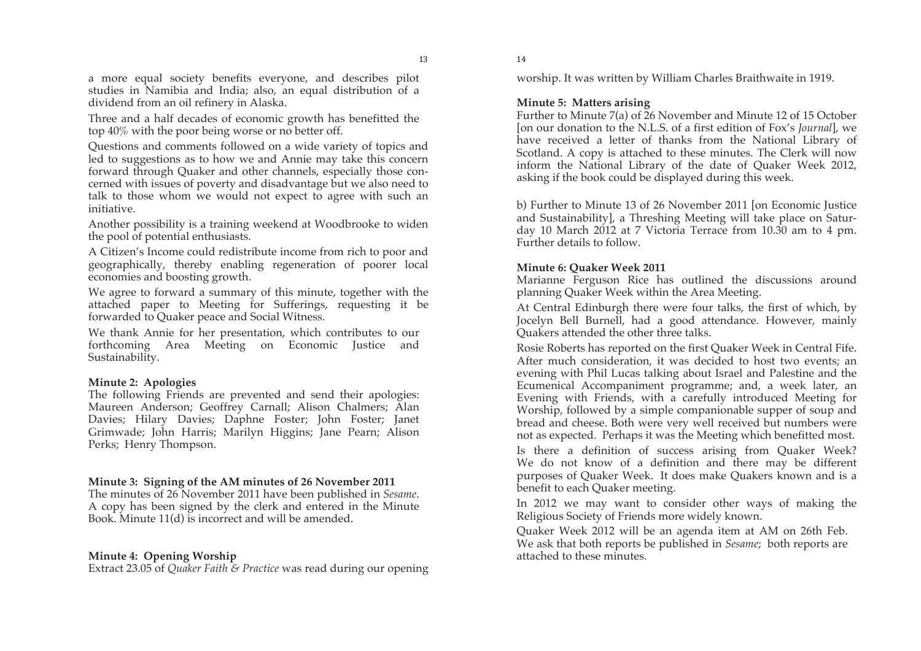a more equal society benefits everyone, and describes pilot studies in Namibia and India; also, an equal distribution of a dividend from an oil refinery in Alaska.

Three and a half decades of economic growth has benefitted the top 40% with the poor being worse or no better off.

Questions and comments followed on a wide variety of topics and led to suggestions as to how we and Annie may take this concern forward through Quaker and other channels, especially those concerned with issues of poverty and disadvantage but we also need to talk to those whom we would not expect to agree with such an initiative.

Another possibility is a training weekend at Woodbrooke to widen the pool of potential enthusiasts.

A Citizen's Income could redistribute income from rich to poor and geographically, thereby enabling regeneration of poorer local economies and boosting growth.

We agree to forward a summary of this minute, together with the attached paper to Meeting for Sufferings, requesting it be forwarded to Quaker peace and Social Witness.

We thank Annie for her presentation, which contributes to our forthcoming Area Meeting on Economic Justice and Sustainability.

#### **Minute 2: Apologies**

The following Friends are prevented and send their apologies: Maureen Anderson; Geoffrey Carnall; Alison Chalmers; Alan Davies; Hilary Davies; Daphne Foster; John Foster; Janet Grimwade; John Harris; Marilyn Higgins; Jane Pearn; Alison Perks; Henry Thompson.

#### **Minute 3: Signing of the AM minutes of 26 November 2011**

The minutes of 26 November 2011 have been published in *Sesame*. A copy has been signed by the clerk and entered in the Minute Book. Minute 11(d) is incorrect and will be amended.

#### **Minute 4: Opening Worship**

Extract 23.05 of *Quaker Faith & Practice* was read during our opening

worship. It was written by William Charles Braithwaite in 1919.

#### **Minute 5: Matters arising**

 $14$ 

Further to Minute 7(a) of 26 November and Minute 12 of 15 October [on our donation to the N.L.S. of a first edition of Fox's *Journal*], we have received a letter of thanks from the National Library of Scotland. A copy is attached to these minutes. The Clerk will now inform the National Library of the date of Quaker Week 2012, asking if the book could be displayed during this week.

b) Further to Minute 13 of 26 November 2011 [on Economic Justice and Sustainability], a Threshing Meeting will take place on Saturday 10 March 2012 at 7 Victoria Terrace from 10.30 am to 4 pm. Further details to follow.

#### **Minute 6: Quaker Week 2011**

Marianne Ferguson Rice has outlined the discussions around planning Quaker Week within the Area Meeting.

At Central Edinburgh there were four talks, the first of which, by Jocelyn Bell Burnell, had a good attendance. However, mainly Quakers attended the other three talks.

Rosie Roberts has reported on the first Quaker Week in Central Fife. After much consideration, it was decided to host two events; an evening with Phil Lucas talking about Israel and Palestine and the Ecumenical Accompaniment programme; and, a week later, an Evening with Friends, with a carefully introduced Meeting for Worship, followed by a simple companionable supper of soup and bread and cheese. Both were very well received but numbers were not as expected. Perhaps it was the Meeting which benefitted most.

Is there a definition of success arising from Quaker Week? We do not know of a definition and there may be different purposes of Quaker Week. It does make Quakers known and is a benefit to each Quaker meeting.

In 2012 we may want to consider other ways of making the Religious Society of Friends more widely known.

Quaker Week 2012 will be an agenda item at AM on 26th Feb. We ask that both reports be published in *Sesame*; both reports are attached to these minutes.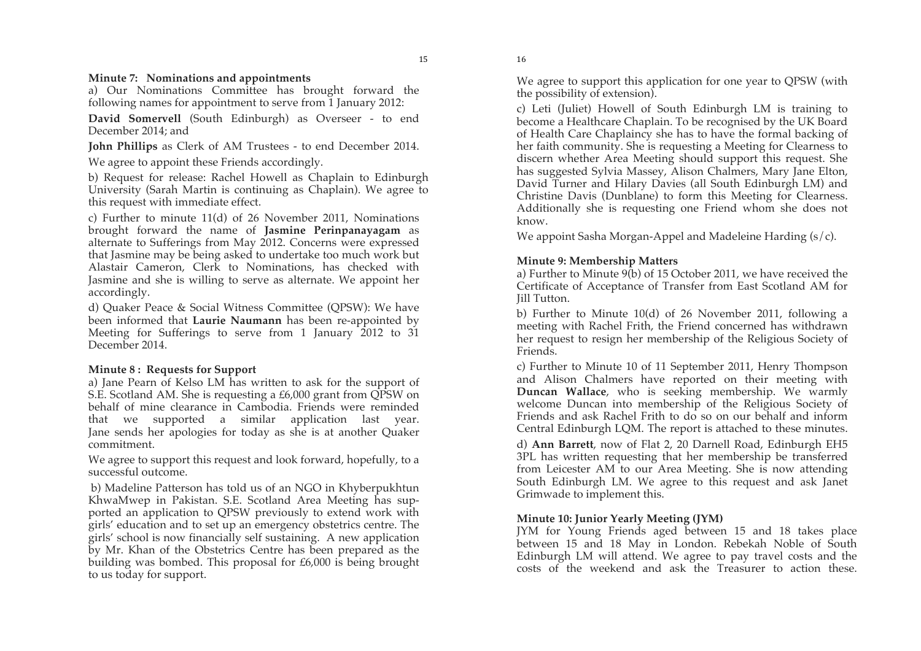$15$ 

#### **Minute 7: Nominations and appointments**

a) Our Nominations Committee has brought forward the following names for appointment to serve from 1 January 2012:

**David Somervell** (South Edinburgh) as Overseer - to end December 2014; and

**John Phillips** as Clerk of AM Trustees - to end December 2014.

We agree to appoint these Friends accordingly.

b) Request for release: Rachel Howell as Chaplain to Edinburgh University (Sarah Martin is continuing as Chaplain). We agree to this request with immediate effect.

c) Further to minute 11(d) of 26 November 2011, Nominations brought forward the name of **Jasmine Perinpanayagam** as alternate to Sufferings from May 2012. Concerns were expressed that Jasmine may be being asked to undertake too much work but Alastair Cameron, Clerk to Nominations, has checked with Jasmine and she is willing to serve as alternate. We appoint her accordingly.

d) Quaker Peace & Social Witness Committee (QPSW): We have been informed that **Laurie Naumann** has been re-appointed by Meeting for Sufferings to serve from 1 January 2012 to 31 December 2014.

### **Minute 8 : Requests for Support**

a) Jane Pearn of Kelso LM has written to ask for the support of S.E. Scotland AM. She is requesting a £6,000 grant from QPSW on behalf of mine clearance in Cambodia. Friends were reminded that we supported a similar application last year. Jane sends her apologies for today as she is at another Quaker commitment.

We agree to support this request and look forward, hopefully, to a successful outcome.

b) Madeline Patterson has told us of an NGO in Khyberpukhtun KhwaMwep in Pakistan. S.E. Scotland Area Meeting has supported an application to QPSW previously to extend work with girls' education and to set up an emergency obstetrics centre. The girls' school is now financially self sustaining. A new application by Mr. Khan of the Obstetrics Centre has been prepared as the building was bombed. This proposal for £6,000 is being brought to us today for support.

We agree to support this application for one year to QPSW (with the possibility of extension).

c) Leti (Juliet) Howell of South Edinburgh LM is training to become a Healthcare Chaplain. To be recognised by the UK Board of Health Care Chaplaincy she has to have the formal backing of her faith community. She is requesting a Meeting for Clearness to discern whether Area Meeting should support this request. She has suggested Sylvia Massey, Alison Chalmers, Mary Jane Elton, David Turner and Hilary Davies (all South Edinburgh LM) and Christine Davis (Dunblane) to form this Meeting for Clearness. Additionally she is requesting one Friend whom she does not know.

We appoint Sasha Morgan-Appel and Madeleine Harding  $(s/c)$ .

## **Minute 9: Membership Matters**

a) Further to Minute 9(b) of 15 October 2011, we have received the Certificate of Acceptance of Transfer from East Scotland AM for Jill Tutton.

b) Further to Minute 10(d) of 26 November 2011, following a meeting with Rachel Frith, the Friend concerned has withdrawn her request to resign her membership of the Religious Society of Friends.

c) Further to Minute 10 of 11 September 2011, Henry Thompson and Alison Chalmers have reported on their meeting with **Duncan Wallace**, who is seeking membership. We warmly welcome Duncan into membership of the Religious Society of Friends and ask Rachel Frith to do so on our behalf and inform Central Edinburgh LQM. The report is attached to these minutes.

d) **Ann Barrett**, now of Flat 2, 20 Darnell Road, Edinburgh EH5 3PL has written requesting that her membership be transferred from Leicester AM to our Area Meeting. She is now attending South Edinburgh LM. We agree to this request and ask Janet Grimwade to implement this.

## **Minute 10: Junior Yearly Meeting (JYM)**

JYM for Young Friends aged between 15 and 18 takes place between 15 and 18 May in London. Rebekah Noble of South Edinburgh LM will attend. We agree to pay travel costs and the costs of the weekend and ask the Treasurer to action these.

 $16$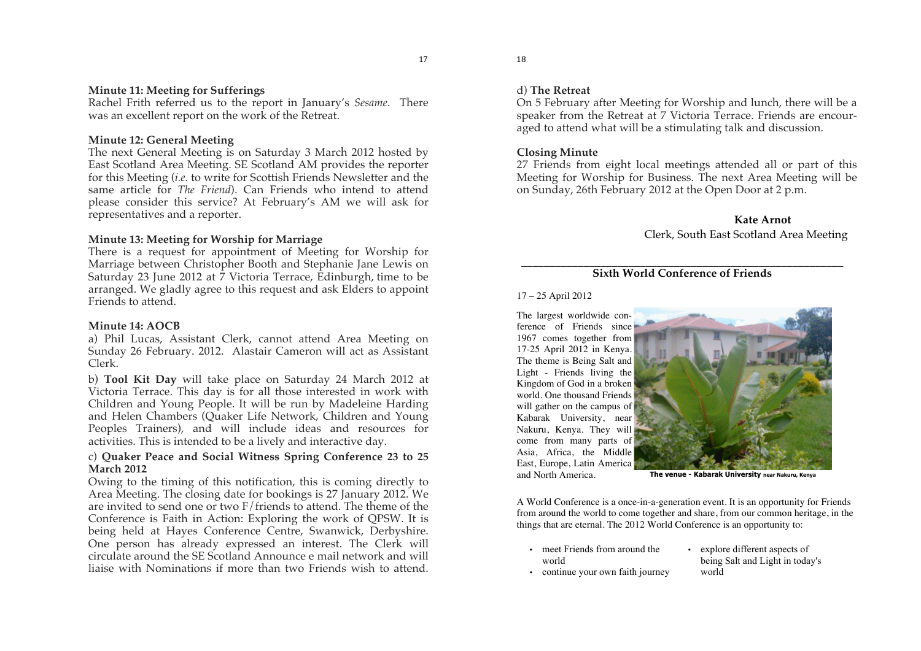#### **Minute 11: Meeting for Sufferings**

Rachel Frith referred us to the report in January's *Sesame*. There was an excellent report on the work of the Retreat.

#### **Minute 12: General Meeting**

The next General Meeting is on Saturday 3 March 2012 hosted by East Scotland Area Meeting. SE Scotland AM provides the reporter for this Meeting (*i.e.* to write for Scottish Friends Newsletter and the same article for *The Friend*). Can Friends who intend to attend please consider this service? At February's AM we will ask for representatives and a reporter.

#### **Minute 13: Meeting for Worship for Marriage**

There is a request for appointment of Meeting for Worship for Marriage between Christopher Booth and Stephanie Jane Lewis on Saturday 23 June 2012 at  $\bar{7}$  Victoria Terrace, Edinburgh, time to be arranged. We gladly agree to this request and ask Elders to appoint Friends to attend.

#### **Minute 14: AOCB**

a) Phil Lucas, Assistant Clerk, cannot attend Area Meeting on Sunday 26 February. 2012. Alastair Cameron will act as Assistant Clerk.

b) **Tool Kit Day** will take place on Saturday 24 March 2012 at Victoria Terrace. This day is for all those interested in work with Children and Young People. It will be run by Madeleine Harding and Helen Chambers (Quaker Life Network, Children and Young Peoples Trainers), and will include ideas and resources for activities. This is intended to be a lively and interactive day.

#### c) **Quaker Peace and Social Witness Spring Conference 23 to 25 March 2012**

Owing to the timing of this notification, this is coming directly to Area Meeting. The closing date for bookings is 27 January 2012. We are invited to send one or two F/friends to attend. The theme of the Conference is Faith in Action: Exploring the work of QPSW. It is being held at Hayes Conference Centre, Swanwick, Derbyshire. One person has already expressed an interest. The Clerk will circulate around the SE Scotland Announce e mail network and will liaise with Nominations if more than two Friends wish to attend.

18

#### d) **The Retreat**

On 5 February after Meeting for Worship and lunch, there will be a speaker from the Retreat at 7 Victoria Terrace. Friends are encouraged to attend what will be a stimulating talk and discussion.

#### **Closing Minute**

27 Friends from eight local meetings attended all or part of this Meeting for Worship for Business. The next Area Meeting will be on Sunday, 26th February 2012 at the Open Door at 2 p.m.

## **Kate Arnot**

## Clerk, South East Scotland Area Meeting

#### \_\_\_\_\_\_\_\_\_\_\_\_\_\_\_\_\_\_\_\_\_\_\_\_\_\_\_\_\_\_\_\_\_\_\_\_\_\_\_\_\_\_\_\_\_\_\_\_\_\_\_\_\_\_\_\_\_ **Sixth World Conference of Friends**

#### 17 – 25 April 2012

The largest worldwide conference of Friends since 1967 comes together from 17-25 April 2012 in Kenya. The theme is Being Salt and Light - Friends living the Kingdom of God in a broken world. One thousand Friends will gather on the campus of Kabarak University, near Nakuru, Kenya. They will come from many parts of Asia, Africa, the Middle East, Europe, Latin America



and North America. **The venue - Kabarak University near Nakuru, Kenya**

A World Conference is a once-in-a-generation event. It is an opportunity for Friends from around the world to come together and share, from our common heritage, in the things that are eternal. The 2012 World Conference is an opportunity to:

- meet Friends from around the world
- explore different aspects of being Salt and Light in today's world
- continue your own faith journey